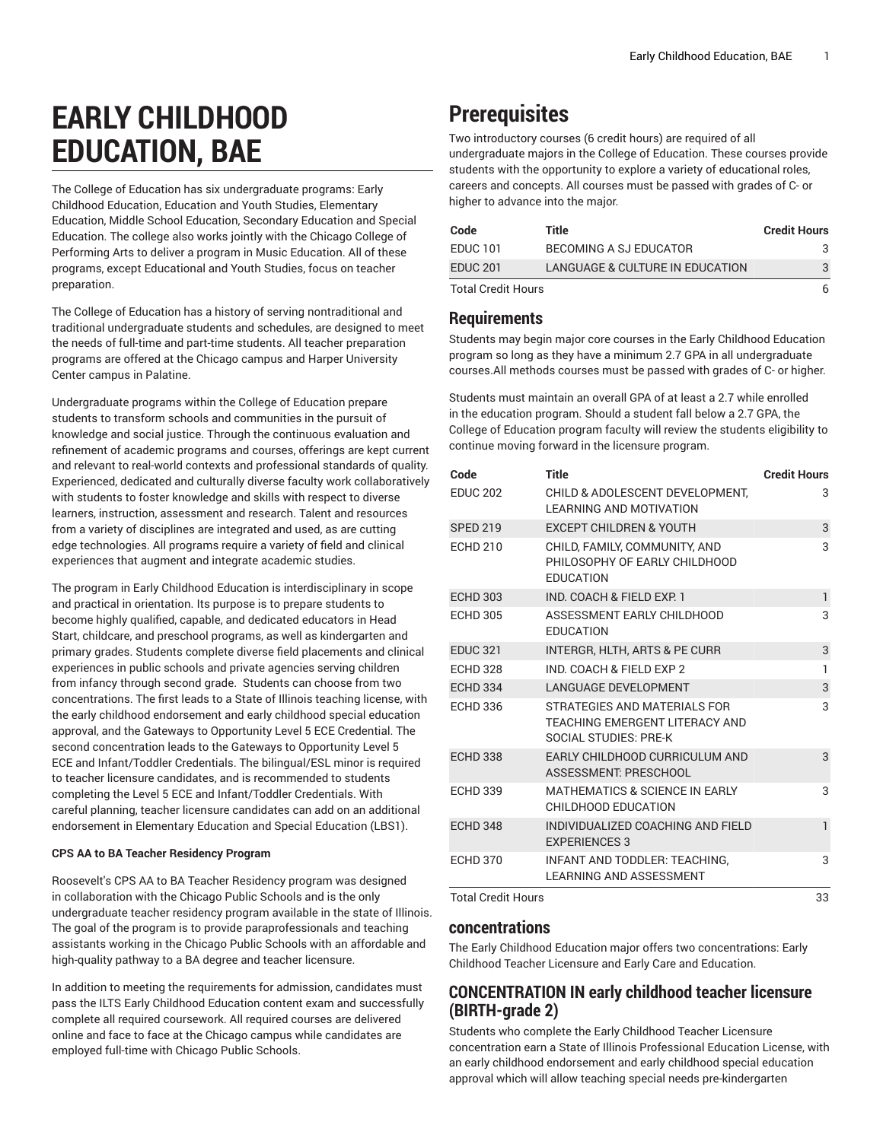# **EARLY CHILDHOOD EDUCATION, BAE**

The College of Education has six undergraduate programs: Early Childhood Education, Education and Youth Studies, Elementary Education, Middle School Education, Secondary Education and Special Education. The college also works jointly with the Chicago College of Performing Arts to deliver a program in Music Education. All of these programs, except Educational and Youth Studies, focus on teacher preparation.

The College of Education has a history of serving nontraditional and traditional undergraduate students and schedules, are designed to meet the needs of full-time and part-time students. All teacher preparation programs are offered at the Chicago campus and Harper University Center campus in Palatine.

Undergraduate programs within the College of Education prepare students to transform schools and communities in the pursuit of knowledge and social justice. Through the continuous evaluation and refinement of academic programs and courses, offerings are kept current and relevant to real-world contexts and professional standards of quality. Experienced, dedicated and culturally diverse faculty work collaboratively with students to foster knowledge and skills with respect to diverse learners, instruction, assessment and research. Talent and resources from a variety of disciplines are integrated and used, as are cutting edge technologies. All programs require a variety of field and clinical experiences that augment and integrate academic studies.

The program in Early Childhood Education is interdisciplinary in scope and practical in orientation. Its purpose is to prepare students to become highly qualified, capable, and dedicated educators in Head Start, childcare, and preschool programs, as well as kindergarten and primary grades. Students complete diverse field placements and clinical experiences in public schools and private agencies serving children from infancy through second grade. Students can choose from two concentrations. The first leads to a State of Illinois teaching license, with the early childhood endorsement and early childhood special education approval, and the Gateways to Opportunity Level 5 ECE Credential. The second concentration leads to the Gateways to Opportunity Level 5 ECE and Infant/Toddler Credentials. The bilingual/ESL minor is required to teacher licensure candidates, and is recommended to students completing the Level 5 ECE and Infant/Toddler Credentials. With careful planning, teacher licensure candidates can add on an additional endorsement in Elementary Education and Special Education (LBS1).

### **CPS AA to BA Teacher Residency Program**

Roosevelt's CPS AA to BA Teacher Residency program was designed in collaboration with the Chicago Public Schools and is the only undergraduate teacher residency program available in the state of Illinois. The goal of the program is to provide paraprofessionals and teaching assistants working in the Chicago Public Schools with an affordable and high-quality pathway to a BA degree and teacher licensure.

In addition to meeting the requirements for admission, candidates must pass the ILTS Early Childhood Education content exam and successfully complete all required coursework. All required courses are delivered online and face to face at the Chicago campus while candidates are employed full-time with Chicago Public Schools.

# **Prerequisites**

Two introductory courses (6 credit hours) are required of all undergraduate majors in the College of Education. These courses provide students with the opportunity to explore a variety of educational roles, careers and concepts. All courses must be passed with grades of C- or higher to advance into the major.

| Code                      | Title                           | <b>Credit Hours</b> |
|---------------------------|---------------------------------|---------------------|
| EDUC 101                  | BECOMING A SJ EDUCATOR          |                     |
| <b>EDUC 201</b>           | LANGUAGE & CULTURE IN EDUCATION | 3                   |
| <b>Total Credit Hours</b> |                                 | 6                   |

# **Requirements**

Students may begin major core courses in the Early Childhood Education program so long as they have a minimum 2.7 GPA in all undergraduate courses.All methods courses must be passed with grades of C- or higher.

Students must maintain an overall GPA of at least a 2.7 while enrolled in the education program. Should a student fall below a 2.7 GPA, the College of Education program faculty will review the students eligibility to continue moving forward in the licensure program.

| Code                      | <b>Title</b>                                                                            | <b>Credit Hours</b> |
|---------------------------|-----------------------------------------------------------------------------------------|---------------------|
| <b>EDUC 202</b>           | <b>CHILD &amp; ADOLESCENT DEVELOPMENT.</b><br><b>LEARNING AND MOTIVATION</b>            | 3                   |
| <b>SPED 219</b>           | <b>EXCEPT CHILDREN &amp; YOUTH</b>                                                      | 3                   |
| <b>ECHD 210</b>           | CHILD, FAMILY, COMMUNITY, AND<br>PHILOSOPHY OF EARLY CHILDHOOD<br><b>EDUCATION</b>      | 3                   |
| <b>ECHD 303</b>           | IND. COACH & FIELD EXP. 1                                                               | $\mathbf{1}$        |
| <b>ECHD 305</b>           | ASSESSMENT EARLY CHILDHOOD<br><b>EDUCATION</b>                                          | 3                   |
| <b>EDUC 321</b>           | INTERGR, HLTH, ARTS & PE CURR                                                           | 3                   |
| <b>ECHD 328</b>           | IND. COACH & FIELD EXP 2                                                                | 1                   |
| <b>ECHD 334</b>           | <b>LANGUAGE DEVELOPMENT</b>                                                             | 3                   |
| <b>ECHD 336</b>           | STRATEGIES AND MATERIALS FOR<br>TEACHING EMERGENT LITERACY AND<br>SOCIAL STUDIES: PRE-K | 3                   |
| <b>ECHD 338</b>           | EARLY CHILDHOOD CURRICULUM AND<br>ASSESSMENT: PRESCHOOL                                 | 3                   |
| <b>ECHD 339</b>           | <b>MATHEMATICS &amp; SCIENCE IN EARLY</b><br>CHILDHOOD EDUCATION                        | 3                   |
| <b>ECHD 348</b>           | INDIVIDUALIZED COACHING AND FIELD<br><b>EXPERIENCES 3</b>                               | $\mathbf{1}$        |
| <b>ECHD 370</b>           | <b>INFANT AND TODDLER: TEACHING.</b><br><b>LEARNING AND ASSESSMENT</b>                  | 3                   |
| <b>Total Credit Hours</b> |                                                                                         | 33                  |

# **concentrations**

The Early Childhood Education major offers two concentrations: Early Childhood Teacher Licensure and Early Care and Education.

# **CONCENTRATION IN early childhood teacher licensure (BIRTH-grade 2)**

Students who complete the Early Childhood Teacher Licensure concentration earn a State of Illinois Professional Education License, with an early childhood endorsement and early childhood special education approval which will allow teaching special needs pre-kindergarten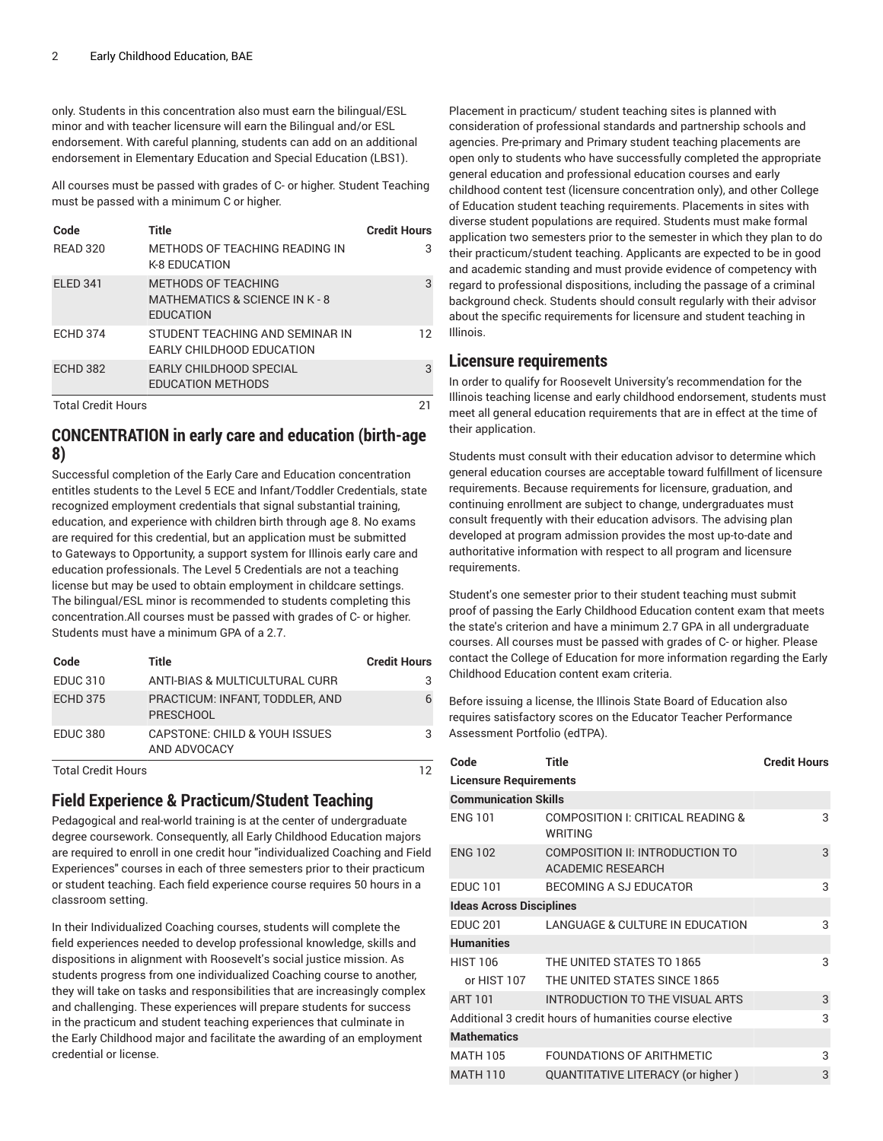only. Students in this concentration also must earn the bilingual/ESL minor and with teacher licensure will earn the Bilingual and/or ESL endorsement. With careful planning, students can add on an additional endorsement in Elementary Education and Special Education (LBS1).

All courses must be passed with grades of C- or higher. Student Teaching must be passed with a minimum C or higher.

| Code                      | Title                                                                     | <b>Credit Hours</b> |
|---------------------------|---------------------------------------------------------------------------|---------------------|
| <b>READ 320</b>           | METHODS OF TEACHING READING IN<br><b>K-8 EDUCATION</b>                    | 3                   |
| <b>ELED 341</b>           | METHODS OF TEACHING<br>MATHEMATICS & SCIENCE IN K - 8<br><b>EDUCATION</b> | 3                   |
| <b>ECHD 374</b>           | STUDENT TEACHING AND SEMINAR IN<br>EARLY CHILDHOOD EDUCATION              | 12                  |
| <b>ECHD 382</b>           | EARLY CHILDHOOD SPECIAL<br><b>EDUCATION METHODS</b>                       | 3                   |
| <b>Total Credit Hours</b> |                                                                           | 21                  |

# **CONCENTRATION in early care and education (birth-age 8)**

Successful completion of the Early Care and Education concentration entitles students to the Level 5 ECE and Infant/Toddler Credentials, state recognized employment credentials that signal substantial training, education, and experience with children birth through age 8. No exams are required for this credential, but an application must be submitted to Gateways to Opportunity, a support system for Illinois early care and education professionals. The Level 5 Credentials are not a teaching license but may be used to obtain employment in childcare settings. The bilingual/ESL minor is recommended to students completing this concentration.All courses must be passed with grades of C- or higher. Students must have a minimum GPA of a 2.7.

| Code            | Title                                               | <b>Credit Hours</b> |
|-----------------|-----------------------------------------------------|---------------------|
| <b>EDUC 310</b> | ANTI-BIAS & MULTICULTURAL CURR                      |                     |
| <b>ECHD 375</b> | PRACTICUM: INFANT, TODDLER, AND<br><b>PRESCHOOL</b> |                     |
| <b>EDUC 380</b> | CAPSTONE: CHILD & YOUH ISSUES<br>AND ADVOCACY       |                     |

Total Credit Hours 12

# **Field Experience & Practicum/Student Teaching**

Pedagogical and real-world training is at the center of undergraduate degree coursework. Consequently, all Early Childhood Education majors are required to enroll in one credit hour "individualized Coaching and Field Experiences" courses in each of three semesters prior to their practicum or student teaching. Each field experience course requires 50 hours in a classroom setting.

In their Individualized Coaching courses, students will complete the field experiences needed to develop professional knowledge, skills and dispositions in alignment with Roosevelt's social justice mission. As students progress from one individualized Coaching course to another, they will take on tasks and responsibilities that are increasingly complex and challenging. These experiences will prepare students for success in the practicum and student teaching experiences that culminate in the Early Childhood major and facilitate the awarding of an employment credential or license.

Placement in practicum/ student teaching sites is planned with consideration of professional standards and partnership schools and agencies. Pre-primary and Primary student teaching placements are open only to students who have successfully completed the appropriate general education and professional education courses and early childhood content test (licensure concentration only), and other College of Education student teaching requirements. Placements in sites with diverse student populations are required. Students must make formal application two semesters prior to the semester in which they plan to do their practicum/student teaching. Applicants are expected to be in good and academic standing and must provide evidence of competency with regard to professional dispositions, including the passage of a criminal background check. Students should consult regularly with their advisor about the specific requirements for licensure and student teaching in Illinois.

# **Licensure requirements**

In order to qualify for Roosevelt University's recommendation for the Illinois teaching license and early childhood endorsement, students must meet all general education requirements that are in effect at the time of their application.

Students must consult with their education advisor to determine which general education courses are acceptable toward fulfillment of licensure requirements. Because requirements for licensure, graduation, and continuing enrollment are subject to change, undergraduates must consult frequently with their education advisors. The advising plan developed at program admission provides the most up-to-date and authoritative information with respect to all program and licensure requirements.

Student's one semester prior to their student teaching must submit proof of passing the Early Childhood Education content exam that meets the state's criterion and have a minimum 2.7 GPA in all undergraduate courses. All courses must be passed with grades of C- or higher. Please contact the College of Education for more information regarding the Early Childhood Education content exam criteria.

Before issuing a license, the Illinois State Board of Education also requires satisfactory scores on the Educator Teacher Performance Assessment Portfolio (edTPA).

| Code                            | <b>Title</b>                                                       | <b>Credit Hours</b> |
|---------------------------------|--------------------------------------------------------------------|---------------------|
| <b>Licensure Requirements</b>   |                                                                    |                     |
| <b>Communication Skills</b>     |                                                                    |                     |
| <b>ENG 101</b>                  | COMPOSITION I: CRITICAL READING &<br>WRITING                       | 3                   |
| <b>ENG 102</b>                  | <b>COMPOSITION II: INTRODUCTION TO</b><br><b>ACADEMIC RESEARCH</b> | 3                   |
| <b>EDUC 101</b>                 | BECOMING A SJ EDUCATOR                                             | 3                   |
| <b>Ideas Across Disciplines</b> |                                                                    |                     |
| <b>EDUC 201</b>                 | LANGUAGE & CULTURE IN EDUCATION                                    | 3                   |
| <b>Humanities</b>               |                                                                    |                     |
| <b>HIST 106</b>                 | THE UNITED STATES TO 1865                                          | 3                   |
| or HIST 107                     | THE UNITED STATES SINCE 1865                                       |                     |
| <b>ART 101</b>                  | INTRODUCTION TO THE VISUAL ARTS                                    | 3                   |
|                                 | Additional 3 credit hours of humanities course elective            | 3                   |
| <b>Mathematics</b>              |                                                                    |                     |
| <b>MATH 105</b>                 | FOUNDATIONS OF ARITHMETIC                                          | 3                   |
| <b>MATH 110</b>                 | QUANTITATIVE LITERACY (or higher)                                  | 3                   |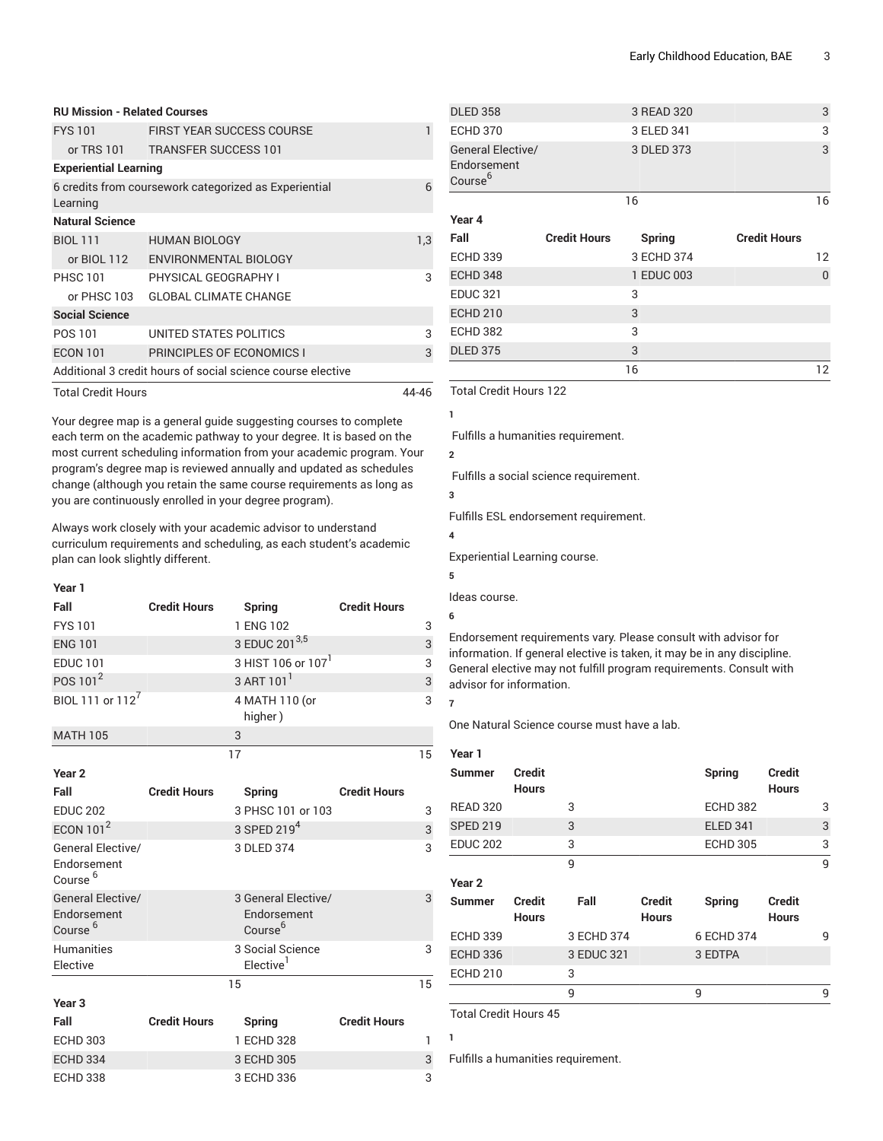| <b>RU Mission - Related Courses</b> |                                                             |       |
|-------------------------------------|-------------------------------------------------------------|-------|
| <b>FYS 101</b>                      | <b>FIRST YEAR SUCCESS COURSE</b>                            |       |
|                                     | or TRS 101 TRANSFER SUCCESS 101                             |       |
| <b>Experiential Learning</b>        |                                                             |       |
| Learning                            | 6 credits from coursework categorized as Experiential       | 6     |
| <b>Natural Science</b>              |                                                             |       |
| <b>BIOL 111</b>                     | <b>HUMAN BIOLOGY</b>                                        | 1,3   |
| or BIOL 112                         | ENVIRONMENTAL BIOLOGY                                       |       |
| <b>PHSC 101</b>                     | PHYSICAL GEOGRAPHY I                                        | 3     |
| or PHSC 103                         | <b>GLOBAL CLIMATE CHANGE</b>                                |       |
| <b>Social Science</b>               |                                                             |       |
| POS 101                             | UNITED STATES POLITICS                                      | 3     |
| <b>ECON 101</b>                     | PRINCIPLES OF ECONOMICS I                                   | 3     |
|                                     | Additional 3 credit hours of social science course elective |       |
| <b>Total Credit Hours</b>           |                                                             | 44-46 |

Your degree map is a general guide suggesting courses to complete each term on the academic pathway to your degree. It is based on the most current scheduling information from your academic program. Your program's degree map is reviewed annually and updated as schedules change (although you retain the same course requirements as long as you are continuously enrolled in your degree program).

Always work closely with your academic advisor to understand curriculum requirements and scheduling, as each student's academic plan can look slightly different.

| v<br>×<br>× |  |
|-------------|--|

| Fall                         | <b>Credit Hours</b> | Spring                         | <b>Credit Hours</b> |    |
|------------------------------|---------------------|--------------------------------|---------------------|----|
| <b>FYS 101</b>               |                     | 1 ENG 102                      |                     | 3  |
| <b>ENG 101</b>               |                     | 3 EDUC 201 <sup>3,5</sup>      |                     | 3  |
| <b>EDUC 101</b>              |                     | 3 HIST 106 or 107 <sup>1</sup> |                     | 3  |
| POS 101 <sup>2</sup>         |                     | 3 ART 101 <sup>1</sup>         |                     | 3  |
| BIOL 111 or 112 <sup>7</sup> |                     | 4 MATH 110 (or<br>higher)      |                     | 3  |
| <b>MATH 105</b>              |                     | 3                              |                     |    |
|                              |                     |                                |                     | 15 |

| Year <sub>2</sub>                                              |                     |                                                           |                     |    |
|----------------------------------------------------------------|---------------------|-----------------------------------------------------------|---------------------|----|
| Fall                                                           | <b>Credit Hours</b> | Spring                                                    | <b>Credit Hours</b> |    |
| <b>EDUC 202</b>                                                |                     | 3 PHSC 101 or 103                                         |                     | 3  |
| ECON $101^2$                                                   |                     | 3 SPED 219 <sup>4</sup>                                   |                     | 3  |
| General Elective/<br>Endorsement<br>Course <sup>6</sup>        |                     | 3 DLED 374                                                |                     | 3  |
| <b>General Elective/</b><br>Endorsement<br>Course <sup>6</sup> |                     | 3 General Elective/<br>Endorsement<br>Course <sup>6</sup> |                     | 3  |
| <b>Humanities</b><br>Elective                                  |                     | 3 Social Science<br>Elective <sup>1</sup>                 |                     | 3  |
|                                                                |                     | 15                                                        |                     | 15 |
| Year <sub>3</sub>                                              |                     |                                                           |                     |    |
| Fall                                                           | <b>Credit Hours</b> | Spring                                                    | <b>Credit Hours</b> |    |
| <b>ECHD 303</b>                                                |                     | 1 ECHD 328                                                |                     | 1  |
| <b>ECHD 334</b>                                                |                     | 3 ECHD 305                                                |                     | 3  |
| <b>ECHD 338</b>                                                |                     | 3 ECHD 336                                                |                     | 3  |

| <b>DLED 358</b>                                         |                     | 3 READ 320    |                     | 3               |
|---------------------------------------------------------|---------------------|---------------|---------------------|-----------------|
| <b>ECHD 370</b>                                         |                     | 3 ELED 341    |                     | 3               |
| General Elective/<br>Endorsement<br>Course <sup>6</sup> |                     | 3 DLED 373    |                     | 3               |
|                                                         |                     | 16            |                     | 16              |
| Year 4                                                  |                     |               |                     |                 |
| Fall                                                    | <b>Credit Hours</b> | <b>Spring</b> | <b>Credit Hours</b> |                 |
| <b>ECHD 339</b>                                         |                     | 3 ECHD 374    |                     | $12 \ \mathrm{$ |
| <b>ECHD 348</b>                                         |                     | 1 EDUC 003    |                     | $\Omega$        |
| <b>EDUC 321</b>                                         |                     | 3             |                     |                 |
| <b>ECHD 210</b>                                         |                     | 3             |                     |                 |
| <b>ECHD 382</b>                                         |                     | 3             |                     |                 |
|                                                         |                     |               |                     |                 |
| <b>DLED 375</b>                                         |                     | 3             |                     |                 |

Total Credit Hours 122

**1**

Fulfills a humanities requirement.

**2**

Fulfills a social science requirement.

Fulfills ESL endorsement requirement.

**4**

**3**

Experiential Learning course.

```
5
```
Ideas course.

**6**

Endorsement requirements vary. Please consult with advisor for information. If general elective is taken, it may be in any discipline. General elective may not fulfill program requirements. Consult with advisor for information.

**7**

One Natural Science course must have a lab.

| Year 1            |                               |            |                               |                 |                               |   |
|-------------------|-------------------------------|------------|-------------------------------|-----------------|-------------------------------|---|
| <b>Summer</b>     | <b>Credit</b><br><b>Hours</b> |            |                               | Spring          | <b>Credit</b><br><b>Hours</b> |   |
| <b>READ 320</b>   |                               | 3          |                               | <b>ECHD 382</b> |                               | 3 |
| <b>SPED 219</b>   |                               | 3          |                               | <b>ELED 341</b> |                               | 3 |
| <b>EDUC 202</b>   |                               | 3          |                               | <b>ECHD 305</b> |                               | 3 |
|                   |                               | 9          |                               |                 |                               | 9 |
| Year <sub>2</sub> |                               |            |                               |                 |                               |   |
| <b>Summer</b>     | <b>Credit</b><br><b>Hours</b> | Fall       | <b>Credit</b><br><b>Hours</b> | Spring          | <b>Credit</b><br><b>Hours</b> |   |
| <b>ECHD 339</b>   |                               | 3 ECHD 374 |                               | 6 ECHD 374      |                               | 9 |
| <b>ECHD 336</b>   |                               | 3 EDUC 321 |                               | 3 EDTPA         |                               |   |
| <b>ECHD 210</b>   |                               | 3          |                               |                 |                               |   |
|                   |                               | 9          |                               | 9               |                               | 9 |

Total Credit Hours 45

Fulfills a humanities requirement.

**1**